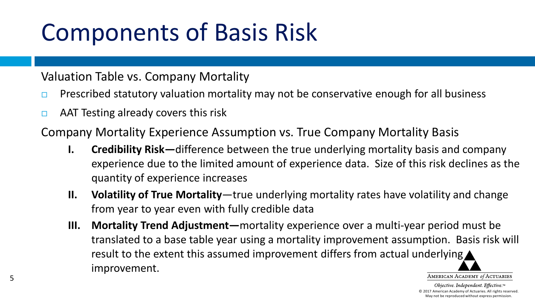# Components of Basis Risk

Valuation Table vs. Company Mortality

- **Prescribed statutory valuation mortality may not be conservative enough for all business**
- $\Box$  AAT Testing already covers this risk

Company Mortality Experience Assumption vs. True Company Mortality Basis

- **I. Credibility Risk—**difference between the true underlying mortality basis and company experience due to the limited amount of experience data. Size of this risk declines as the quantity of experience increases
- **II. Volatility of True Mortality**—true underlying mortality rates have volatility and change from year to year even with fully credible data
- **III. Mortality Trend Adjustment—**mortality experience over a multi-year period must be translated to a base table year using a mortality improvement assumption. Basis risk will result to the extent this assumed improvement differs from actual underlying improvement. AMERICAN ACADEMY of ACTUARIES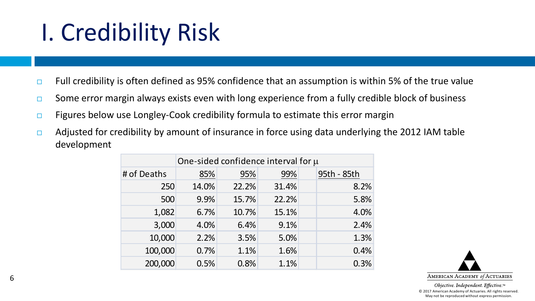### I. Credibility Risk

- $\Box$  Full credibility is often defined as 95% confidence that an assumption is within 5% of the true value
- $\square$  Some error margin always exists even with long experience from a fully credible block of business
- $\Box$  Figures below use Longley-Cook credibility formula to estimate this error margin
- $\Box$  Adjusted for credibility by amount of insurance in force using data underlying the 2012 IAM table development

|             | One-sided confidence interval for $\mu$ |       |       |             |  |  |  |  |  |
|-------------|-----------------------------------------|-------|-------|-------------|--|--|--|--|--|
| # of Deaths | 85%                                     | 95%   | 99%   | 95th - 85th |  |  |  |  |  |
| 250         | 14.0%                                   | 22.2% | 31.4% | 8.2%        |  |  |  |  |  |
| 500         | 9.9%                                    | 15.7% | 22.2% | 5.8%        |  |  |  |  |  |
| 1,082       | 6.7%                                    | 10.7% | 15.1% | 4.0%        |  |  |  |  |  |
| 3,000       | 4.0%                                    | 6.4%  | 9.1%  | 2.4%        |  |  |  |  |  |
| 10,000      | 2.2%                                    | 3.5%  | 5.0%  | 1.3%        |  |  |  |  |  |
| 100,000     | 0.7%                                    | 1.1%  | 1.6%  | 0.4%        |  |  |  |  |  |
| 200,000     | 0.5%                                    | 0.8%  | 1.1%  | 0.3%        |  |  |  |  |  |

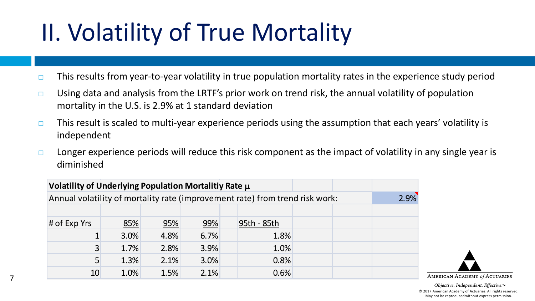# II. Volatility of True Mortality

- $\Box$  This results from year-to-year volatility in true population mortality rates in the experience study period
- **Using data and analysis from the LRTF's prior work on trend risk, the annual volatility of population** mortality in the U.S. is 2.9% at 1 standard deviation
- $\Box$  This result is scaled to multi-year experience periods using the assumption that each years' volatility is independent
- $\Box$  Longer experience periods will reduce this risk component as the impact of volatility in any single year is diminished

| Volatility of Underlying Population Mortalitiy Rate $\mu$                    |      |      |      |  |             |  |  |  |
|------------------------------------------------------------------------------|------|------|------|--|-------------|--|--|--|
| Annual volatility of mortality rate (improvement rate) from trend risk work: |      |      |      |  |             |  |  |  |
|                                                                              |      |      |      |  |             |  |  |  |
| # of Exp Yrs                                                                 | 85%  | 95%  | 99%  |  | 95th - 85th |  |  |  |
|                                                                              | 3.0% | 4.8% | 6.7% |  | 1.8%        |  |  |  |
| 3                                                                            | 1.7% | 2.8% | 3.9% |  | 1.0%        |  |  |  |
| 5                                                                            | 1.3% | 2.1% | 3.0% |  | 0.8%        |  |  |  |
| 10                                                                           | 1.0% | 1.5% | 2.1% |  | 0.6%        |  |  |  |

7

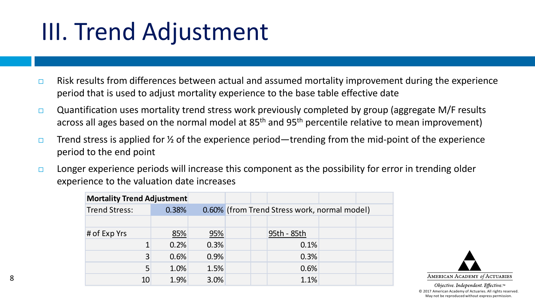### III. Trend Adjustment

- $\Box$  Risk results from differences between actual and assumed mortality improvement during the experience period that is used to adjust mortality experience to the base table effective date
- $\Box$  Quantification uses mortality trend stress work previously completed by group (aggregate M/F results across all ages based on the normal model at 85<sup>th</sup> and 95<sup>th</sup> percentile relative to mean improvement)
- $\Box$  Trend stress is applied for  $\frac{1}{2}$  of the experience period—trending from the mid-point of the experience period to the end point
- $\Box$  Longer experience periods will increase this component as the possibility for error in trending older experience to the valuation date increases

| <b>Mortality Trend Adjustment</b> |       |      |                                              |  |  |  |  |  |
|-----------------------------------|-------|------|----------------------------------------------|--|--|--|--|--|
| <b>Trend Stress:</b>              | 0.38% |      | 0.60% (from Trend Stress work, normal model) |  |  |  |  |  |
|                                   |       |      |                                              |  |  |  |  |  |
| # of Exp Yrs                      | 85%   | 95%  | 95th - 85th                                  |  |  |  |  |  |
|                                   | 0.2%  | 0.3% | 0.1%                                         |  |  |  |  |  |
| 3                                 | 0.6%  | 0.9% | 0.3%                                         |  |  |  |  |  |
| 5                                 | 1.0%  | 1.5% | 0.6%                                         |  |  |  |  |  |
| 10                                | 1.9%  | 3.0% | 1.1%                                         |  |  |  |  |  |

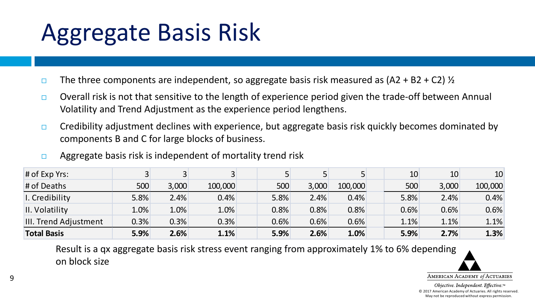### Aggregate Basis Risk

- $\Box$  The three components are independent, so aggregate basis risk measured as (A2 + B2 + C2)  $\frac{1}{2}$
- **Overall risk is not that sensitive to the length of experience period given the trade-off between Annual** Volatility and Trend Adjustment as the experience period lengthens.
- $\Box$  Credibility adjustment declines with experience, but aggregate basis risk quickly becomes dominated by components B and C for large blocks of business.
- $\Box$  Aggregate basis risk is independent of mortality trend risk

| $#$ of Exp Yrs:              |      |       |         |      |       |         | 10   | 10    | 10 <sup>°</sup> |
|------------------------------|------|-------|---------|------|-------|---------|------|-------|-----------------|
| # of Deaths                  | 500  | 3,000 | 100,000 | 500  | 3,000 | 100,000 | 500  | 3,000 | 100,000         |
| I. Credibility               | 5.8% | 2.4%  | 0.4%    | 5.8% | 2.4%  | 0.4%    | 5.8% | 2.4%  | 0.4%            |
| II. Volatility               | 1.0% | 1.0%  | $1.0\%$ | 0.8% | 0.8%  | 0.8%    | 0.6% | 0.6%  | 0.6%            |
| <b>III. Trend Adjustment</b> | 0.3% | 0.3%  | 0.3%    | 0.6% | 0.6%  | 0.6%    | 1.1% | 1.1%  | 1.1%            |
| <b>Total Basis</b>           | 5.9% | 2.6%  | 1.1%    | 5.9% | 2.6%  | 1.0%    | 5.9% | 2.7%  | 1.3%            |

Result is a qx aggregate basis risk stress event ranging from approximately 1% to 6% depending on block size

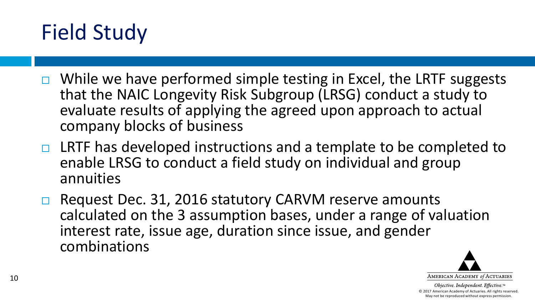### Field Study

- $\Box$  While we have performed simple testing in Excel, the LRTF suggests that the NAIC Longevity Risk Subgroup (LRSG) conduct a study to evaluate results of applying the agreed upon approach to actual company blocks of business
- $\Box$  LRTF has developed instructions and a template to be completed to enable LRSG to conduct a field study on individual and group annuities
- □ Request Dec. 31, 2016 statutory CARVM reserve amounts calculated on the 3 assumption bases, under a range of valuation interest rate, issue age, duration since issue, and gender combinations

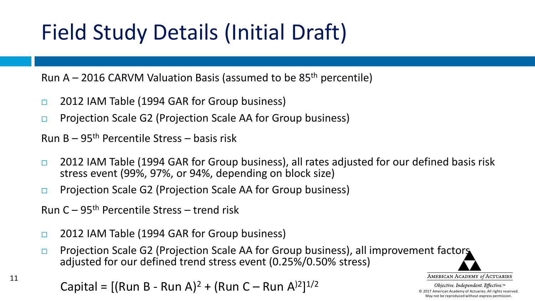Run A – 2016 CARVM Valuation Basis (assumed to be  $85<sup>th</sup>$  percentile)

- **2012 IAM Table (1994 GAR for Group business)**
- **Projection Scale G2 (Projection Scale AA for Group business)**

Run B – 95th Percentile Stress – basis risk

- **2012 IAM Table (1994 GAR for Group business), all rates adjusted for our defined basis risk** stress event (99%, 97%, or 94%, depending on block size)
- **Projection Scale G2 (Projection Scale AA for Group business)**
- Run C 95th Percentile Stress trend risk

11

- **2012 IAM Table (1994 GAR for Group business)**
- **Projection Scale G2 (Projection Scale AA for Group business), all improvement factors** adjusted for our defined trend stress event (0.25%/0.50% stress)

Capital =  $[(Run B - Run A)^2 + (Run C - Run A)^2]^{1/2}$ 

AMERICAN ACADEMY of ACTUARIES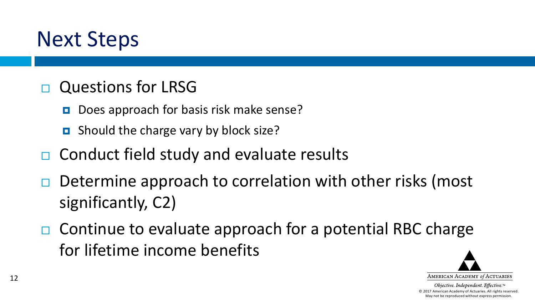#### Next Steps

#### Questions for LRSG

- Does approach for basis risk make sense?
- **D** Should the charge vary by block size?
- $\Box$  Conduct field study and evaluate results
- Determine approach to correlation with other risks (most significantly, C2)
- $\Box$  Continue to evaluate approach for a potential RBC charge for lifetime income benefits

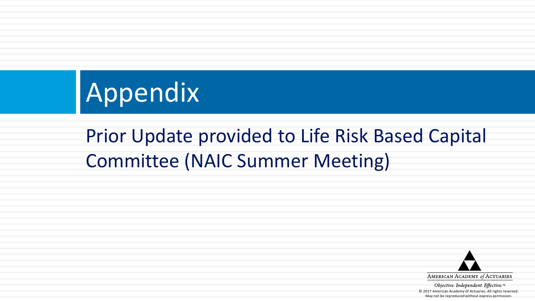# Appendix

#### Prior Update provided to Life Risk Based Capital Committee (NAIC Summer Meeting)

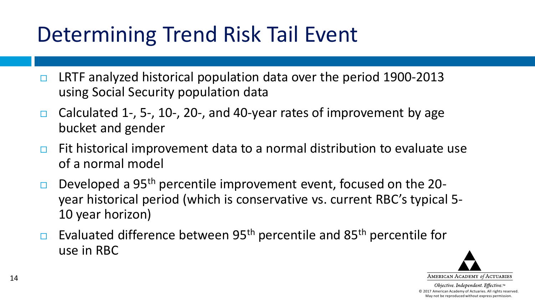### Determining Trend Risk Tail Event

- $\Box$  LRTF analyzed historical population data over the period 1900-2013 using Social Security population data
- Calculated 1-, 5-, 10-, 20-, and 40-year rates of improvement by age bucket and gender
- $\Box$  Fit historical improvement data to a normal distribution to evaluate use of a normal model
- Developed a 95<sup>th</sup> percentile improvement event, focused on the 20year historical period (which is conservative vs. current RBC's typical 5- 10 year horizon)
- **Evaluated difference between 95<sup>th</sup> percentile and 85<sup>th</sup> percentile for** use in RBC

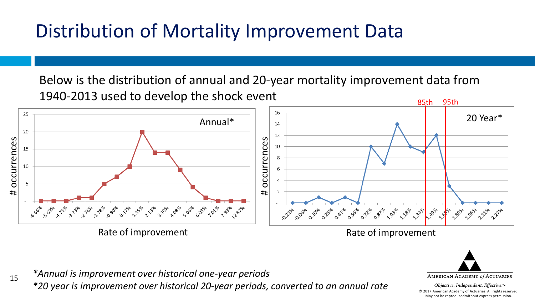Below is the distribution of annual and 20-year mortality improvement data from 1940-2013 used to develop the shock event 85th 95th





Obiective. Independent. Effective.™ © 2017 American Academy of Actuaries. All rights reserved. May not be reproduced without express permission.

*\*Annual is improvement over historical one-year periods*

15

*\*20 year is improvement over historical 20-year periods, converted to an annual rate*